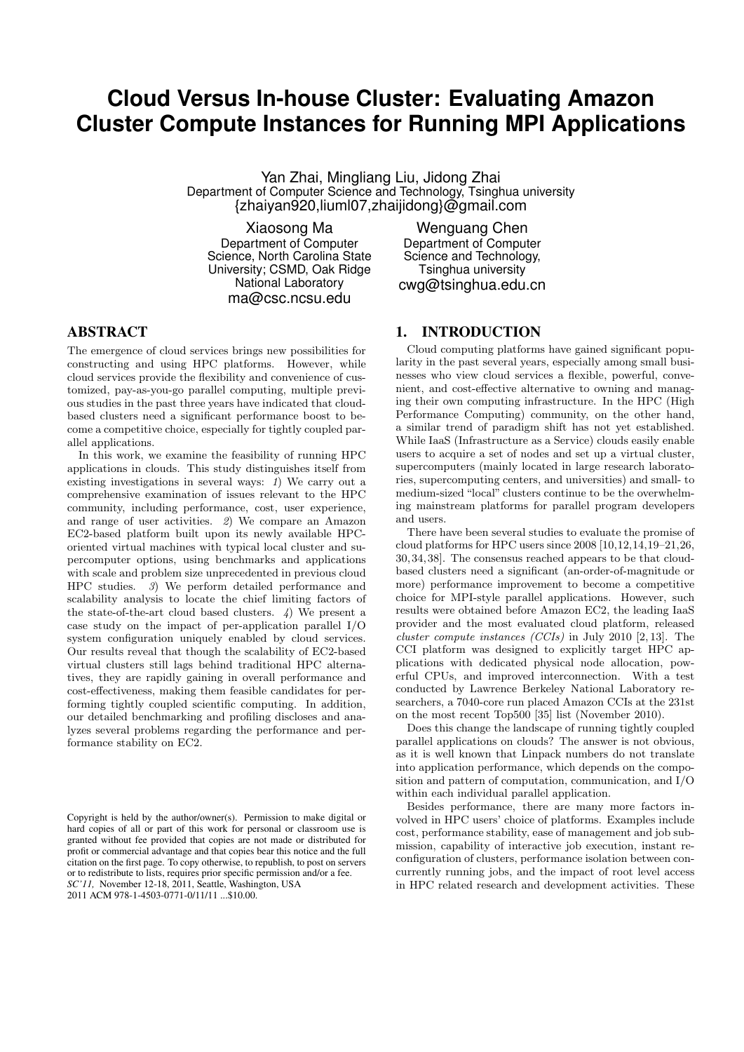# **Cloud Versus In-house Cluster: Evaluating Amazon Cluster Compute Instances for Running MPI Applications**

Yan Zhai, Mingliang Liu, Jidong Zhai Department of Computer Science and Technology, Tsinghua university {zhaiyan920,liuml07,zhaijidong}@gmail.com

Xiaosong Ma Department of Computer Science, North Carolina State University; CSMD, Oak Ridge National Laboratory ma@csc.ncsu.edu

Wenguang Chen Department of Computer Science and Technology, Tsinghua university cwg@tsinghua.edu.cn

# ABSTRACT

The emergence of cloud services brings new possibilities for constructing and using HPC platforms. However, while cloud services provide the flexibility and convenience of customized, pay-as-you-go parallel computing, multiple previous studies in the past three years have indicated that cloudbased clusters need a significant performance boost to become a competitive choice, especially for tightly coupled parallel applications.

In this work, we examine the feasibility of running HPC applications in clouds. This study distinguishes itself from existing investigations in several ways: 1) We carry out a comprehensive examination of issues relevant to the HPC community, including performance, cost, user experience, and range of user activities. 2) We compare an Amazon EC2-based platform built upon its newly available HPCoriented virtual machines with typical local cluster and supercomputer options, using benchmarks and applications with scale and problem size unprecedented in previous cloud HPC studies. 3) We perform detailed performance and scalability analysis to locate the chief limiting factors of the state-of-the-art cloud based clusters.  $\downarrow$ ) We present a case study on the impact of per-application parallel I/O system configuration uniquely enabled by cloud services. Our results reveal that though the scalability of EC2-based virtual clusters still lags behind traditional HPC alternatives, they are rapidly gaining in overall performance and cost-effectiveness, making them feasible candidates for performing tightly coupled scientific computing. In addition, our detailed benchmarking and profiling discloses and analyzes several problems regarding the performance and performance stability on EC2.

Copyright is held by the author/owner(s). Permission to make digital or hard copies of all or part of this work for personal or classroom use is granted without fee provided that copies are not made or distributed for profit or commercial advantage and that copies bear this notice and the full citation on the first page. To copy otherwise, to republish, to post on servers or to redistribute to lists, requires prior specific permission and/or a fee. *SC'11,* November 12-18, 2011, Seattle, Washington, USA 2011 ACM 978-1-4503-0771-0/11/11 ...\$10.00.

## 1. INTRODUCTION

Cloud computing platforms have gained significant popularity in the past several years, especially among small businesses who view cloud services a flexible, powerful, convenient, and cost-effective alternative to owning and managing their own computing infrastructure. In the HPC (High Performance Computing) community, on the other hand, a similar trend of paradigm shift has not yet established. While IaaS (Infrastructure as a Service) clouds easily enable users to acquire a set of nodes and set up a virtual cluster, supercomputers (mainly located in large research laboratories, supercomputing centers, and universities) and small- to medium-sized "local" clusters continue to be the overwhelming mainstream platforms for parallel program developers and users.

There have been several studies to evaluate the promise of cloud platforms for HPC users since 2008 [10,12,14,19–21,26, 30, 34, 38]. The consensus reached appears to be that cloudbased clusters need a significant (an-order-of-magnitude or more) performance improvement to become a competitive choice for MPI-style parallel applications. However, such results were obtained before Amazon EC2, the leading IaaS provider and the most evaluated cloud platform, released cluster compute instances (CCIs) in July 2010 [2, 13]. The CCI platform was designed to explicitly target HPC applications with dedicated physical node allocation, powerful CPUs, and improved interconnection. With a test conducted by Lawrence Berkeley National Laboratory researchers, a 7040-core run placed Amazon CCIs at the 231st on the most recent Top500 [35] list (November 2010).

Does this change the landscape of running tightly coupled parallel applications on clouds? The answer is not obvious, as it is well known that Linpack numbers do not translate into application performance, which depends on the composition and pattern of computation, communication, and I/O within each individual parallel application.

Besides performance, there are many more factors involved in HPC users' choice of platforms. Examples include cost, performance stability, ease of management and job submission, capability of interactive job execution, instant reconfiguration of clusters, performance isolation between concurrently running jobs, and the impact of root level access in HPC related research and development activities. These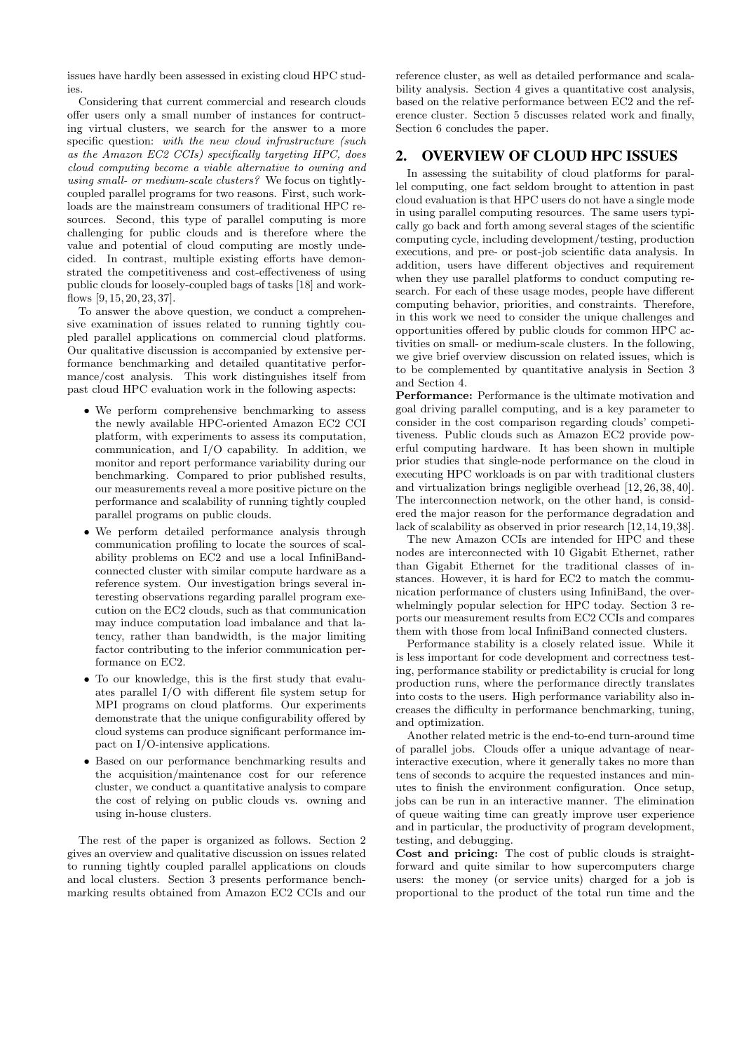issues have hardly been assessed in existing cloud HPC studies.

Considering that current commercial and research clouds offer users only a small number of instances for contructing virtual clusters, we search for the answer to a more specific question: with the new cloud infrastructure (such as the Amazon EC2 CCIs) specifically targeting HPC, does cloud computing become a viable alternative to owning and using small- or medium-scale clusters? We focus on tightlycoupled parallel programs for two reasons. First, such workloads are the mainstream consumers of traditional HPC resources. Second, this type of parallel computing is more challenging for public clouds and is therefore where the value and potential of cloud computing are mostly undecided. In contrast, multiple existing efforts have demonstrated the competitiveness and cost-effectiveness of using public clouds for loosely-coupled bags of tasks [18] and workflows [9, 15, 20, 23, 37].

To answer the above question, we conduct a comprehensive examination of issues related to running tightly coupled parallel applications on commercial cloud platforms. Our qualitative discussion is accompanied by extensive performance benchmarking and detailed quantitative performance/cost analysis. This work distinguishes itself from past cloud HPC evaluation work in the following aspects:

- We perform comprehensive benchmarking to assess the newly available HPC-oriented Amazon EC2 CCI platform, with experiments to assess its computation, communication, and I/O capability. In addition, we monitor and report performance variability during our benchmarking. Compared to prior published results, our measurements reveal a more positive picture on the performance and scalability of running tightly coupled parallel programs on public clouds.
- We perform detailed performance analysis through communication profiling to locate the sources of scalability problems on EC2 and use a local InfiniBandconnected cluster with similar compute hardware as a reference system. Our investigation brings several interesting observations regarding parallel program execution on the EC2 clouds, such as that communication may induce computation load imbalance and that latency, rather than bandwidth, is the major limiting factor contributing to the inferior communication performance on EC2.
- To our knowledge, this is the first study that evaluates parallel I/O with different file system setup for MPI programs on cloud platforms. Our experiments demonstrate that the unique configurability offered by cloud systems can produce significant performance impact on I/O-intensive applications.
- Based on our performance benchmarking results and the acquisition/maintenance cost for our reference cluster, we conduct a quantitative analysis to compare the cost of relying on public clouds vs. owning and using in-house clusters.

The rest of the paper is organized as follows. Section 2 gives an overview and qualitative discussion on issues related to running tightly coupled parallel applications on clouds and local clusters. Section 3 presents performance benchmarking results obtained from Amazon EC2 CCIs and our

reference cluster, as well as detailed performance and scalability analysis. Section 4 gives a quantitative cost analysis, based on the relative performance between EC2 and the reference cluster. Section 5 discusses related work and finally, Section 6 concludes the paper.

# 2. OVERVIEW OF CLOUD HPC ISSUES

In assessing the suitability of cloud platforms for parallel computing, one fact seldom brought to attention in past cloud evaluation is that HPC users do not have a single mode in using parallel computing resources. The same users typically go back and forth among several stages of the scientific computing cycle, including development/testing, production executions, and pre- or post-job scientific data analysis. In addition, users have different objectives and requirement when they use parallel platforms to conduct computing research. For each of these usage modes, people have different computing behavior, priorities, and constraints. Therefore, in this work we need to consider the unique challenges and opportunities offered by public clouds for common HPC activities on small- or medium-scale clusters. In the following, we give brief overview discussion on related issues, which is to be complemented by quantitative analysis in Section 3 and Section 4.

Performance: Performance is the ultimate motivation and goal driving parallel computing, and is a key parameter to consider in the cost comparison regarding clouds' competitiveness. Public clouds such as Amazon EC2 provide powerful computing hardware. It has been shown in multiple prior studies that single-node performance on the cloud in executing HPC workloads is on par with traditional clusters and virtualization brings negligible overhead [12, 26, 38, 40]. The interconnection network, on the other hand, is considered the major reason for the performance degradation and lack of scalability as observed in prior research [12,14,19,38].

The new Amazon CCIs are intended for HPC and these nodes are interconnected with 10 Gigabit Ethernet, rather than Gigabit Ethernet for the traditional classes of instances. However, it is hard for EC2 to match the communication performance of clusters using InfiniBand, the overwhelmingly popular selection for HPC today. Section 3 reports our measurement results from EC2 CCIs and compares them with those from local InfiniBand connected clusters.

Performance stability is a closely related issue. While it is less important for code development and correctness testing, performance stability or predictability is crucial for long production runs, where the performance directly translates into costs to the users. High performance variability also increases the difficulty in performance benchmarking, tuning, and optimization.

Another related metric is the end-to-end turn-around time of parallel jobs. Clouds offer a unique advantage of nearinteractive execution, where it generally takes no more than tens of seconds to acquire the requested instances and minutes to finish the environment configuration. Once setup, jobs can be run in an interactive manner. The elimination of queue waiting time can greatly improve user experience and in particular, the productivity of program development, testing, and debugging.

Cost and pricing: The cost of public clouds is straightforward and quite similar to how supercomputers charge users: the money (or service units) charged for a job is proportional to the product of the total run time and the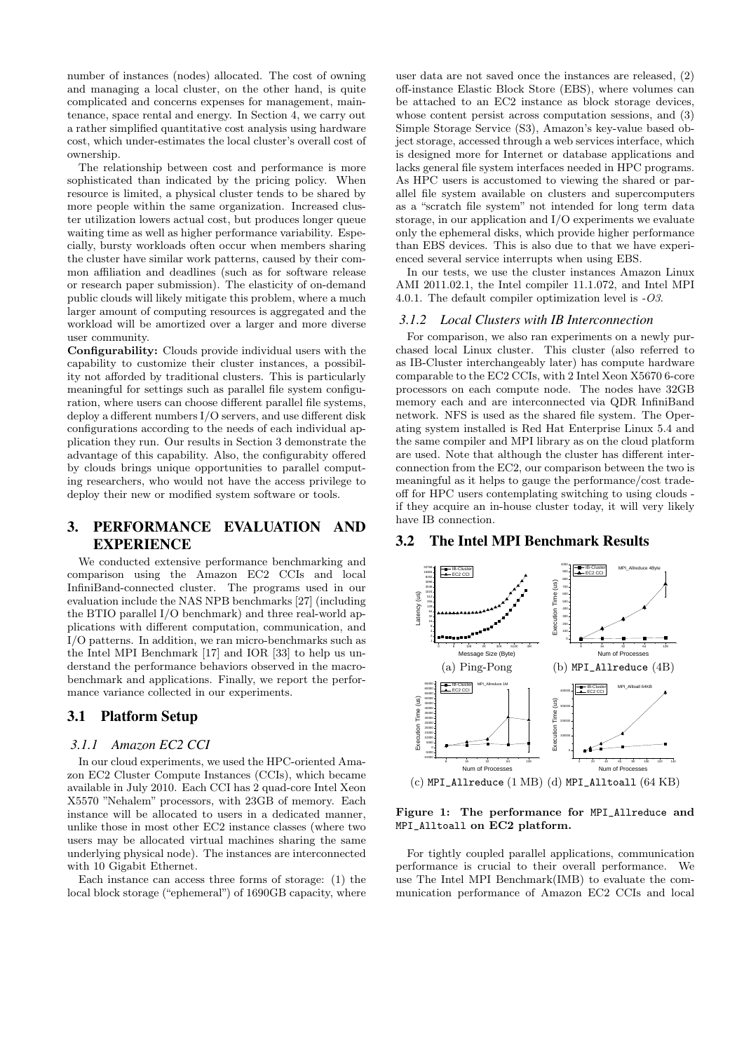number of instances (nodes) allocated. The cost of owning and managing a local cluster, on the other hand, is quite complicated and concerns expenses for management, maintenance, space rental and energy. In Section 4, we carry out a rather simplified quantitative cost analysis using hardware cost, which under-estimates the local cluster's overall cost of ownership.

The relationship between cost and performance is more sophisticated than indicated by the pricing policy. When resource is limited, a physical cluster tends to be shared by more people within the same organization. Increased cluster utilization lowers actual cost, but produces longer queue waiting time as well as higher performance variability. Especially, bursty workloads often occur when members sharing the cluster have similar work patterns, caused by their common affiliation and deadlines (such as for software release or research paper submission). The elasticity of on-demand public clouds will likely mitigate this problem, where a much larger amount of computing resources is aggregated and the workload will be amortized over a larger and more diverse user community.

Configurability: Clouds provide individual users with the capability to customize their cluster instances, a possibility not afforded by traditional clusters. This is particularly meaningful for settings such as parallel file system configuration, where users can choose different parallel file systems, deploy a different numbers I/O servers, and use different disk configurations according to the needs of each individual application they run. Our results in Section 3 demonstrate the advantage of this capability. Also, the configurabity offered by clouds brings unique opportunities to parallel computing researchers, who would not have the access privilege to deploy their new or modified system software or tools.

# 3. PERFORMANCE EVALUATION AND **EXPERIENCE**

We conducted extensive performance benchmarking and comparison using the Amazon EC2 CCIs and local InfiniBand-connected cluster. The programs used in our evaluation include the NAS NPB benchmarks [27] (including the BTIO parallel I/O benchmark) and three real-world applications with different computation, communication, and I/O patterns. In addition, we ran micro-benchmarks such as the Intel MPI Benchmark [17] and IOR [33] to help us understand the performance behaviors observed in the macrobenchmark and applications. Finally, we report the performance variance collected in our experiments.

## 3.1 Platform Setup

#### *3.1.1 Amazon EC2 CCI*

In our cloud experiments, we used the HPC-oriented Amazon EC2 Cluster Compute Instances (CCIs), which became available in July 2010. Each CCI has 2 quad-core Intel Xeon X5570 "Nehalem" processors, with 23GB of memory. Each instance will be allocated to users in a dedicated manner, unlike those in most other EC2 instance classes (where two users may be allocated virtual machines sharing the same underlying physical node). The instances are interconnected with 10 Gigabit Ethernet.

Each instance can access three forms of storage: (1) the local block storage ("ephemeral") of 1690GB capacity, where

user data are not saved once the instances are released, (2) off-instance Elastic Block Store (EBS), where volumes can be attached to an EC2 instance as block storage devices, whose content persist across computation sessions, and (3) Simple Storage Service (S3), Amazon's key-value based object storage, accessed through a web services interface, which is designed more for Internet or database applications and lacks general file system interfaces needed in HPC programs. As HPC users is accustomed to viewing the shared or parallel file system available on clusters and supercomputers as a "scratch file system" not intended for long term data storage, in our application and I/O experiments we evaluate only the ephemeral disks, which provide higher performance than EBS devices. This is also due to that we have experienced several service interrupts when using EBS.

In our tests, we use the cluster instances Amazon Linux AMI 2011.02.1, the Intel compiler 11.1.072, and Intel MPI 4.0.1. The default compiler optimization level is -O3.

#### *3.1.2 Local Clusters with IB Interconnection*

For comparison, we also ran experiments on a newly purchased local Linux cluster. This cluster (also referred to as IB-Cluster interchangeably later) has compute hardware comparable to the EC2 CCIs, with 2 Intel Xeon X5670 6-core processors on each compute node. The nodes have 32GB memory each and are interconnected via QDR InfiniBand network. NFS is used as the shared file system. The Operating system installed is Red Hat Enterprise Linux 5.4 and the same compiler and MPI library as on the cloud platform are used. Note that although the cluster has different interconnection from the EC2, our comparison between the two is meaningful as it helps to gauge the performance/cost tradeoff for HPC users contemplating switching to using clouds if they acquire an in-house cluster today, it will very likely have IB connection.

# 3.2 The Intel MPI Benchmark Results



Figure 1: The performance for MPI\_Allreduce and MPI\_Alltoall on EC2 platform.

For tightly coupled parallel applications, communication performance is crucial to their overall performance. We use The Intel MPI Benchmark(IMB) to evaluate the communication performance of Amazon EC2 CCIs and local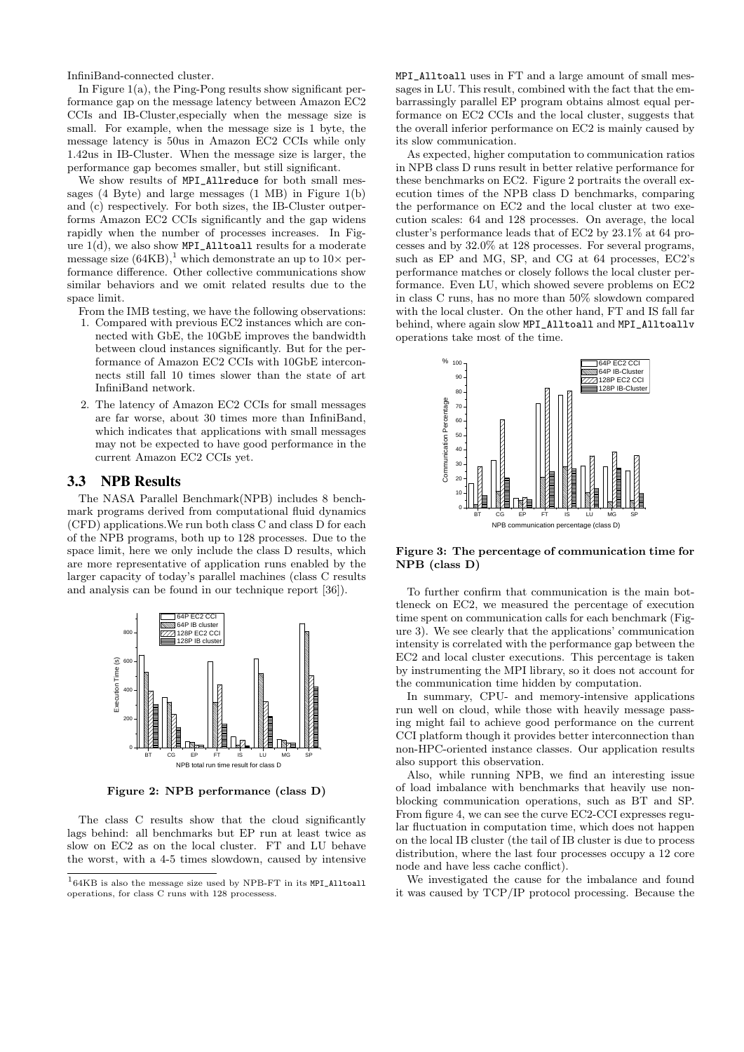InfiniBand-connected cluster.

In Figure  $1(a)$ , the Ping-Pong results show significant performance gap on the message latency between Amazon EC2 CCIs and IB-Cluster,especially when the message size is small. For example, when the message size is 1 byte, the message latency is 50us in Amazon EC2 CCIs while only 1.42us in IB-Cluster. When the message size is larger, the performance gap becomes smaller, but still significant.

We show results of MPI\_Allreduce for both small messages (4 Byte) and large messages (1 MB) in Figure 1(b) and (c) respectively. For both sizes, the IB-Cluster outperforms Amazon EC2 CCIs significantly and the gap widens rapidly when the number of processes increases. In Figure 1(d), we also show MPI\_Alltoall results for a moderate message size  $(64KB)$ ,<sup>1</sup> which demonstrate an up to  $10\times$  performance difference. Other collective communications show similar behaviors and we omit related results due to the space limit.

From the IMB testing, we have the following observations:

- 1. Compared with previous EC2 instances which are connected with GbE, the 10GbE improves the bandwidth between cloud instances significantly. But for the performance of Amazon EC2 CCIs with 10GbE interconnects still fall 10 times slower than the state of art InfiniBand network.
- 2. The latency of Amazon EC2 CCIs for small messages are far worse, about 30 times more than InfiniBand, which indicates that applications with small messages may not be expected to have good performance in the current Amazon EC2 CCIs yet.

#### 3.3 NPB Results

The NASA Parallel Benchmark(NPB) includes 8 benchmark programs derived from computational fluid dynamics (CFD) applications.We run both class C and class D for each of the NPB programs, both up to 128 processes. Due to the space limit, here we only include the class D results, which are more representative of application runs enabled by the larger capacity of today's parallel machines (class C results and analysis can be found in our technique report [36]).



Figure 2: NPB performance (class D)

The class C results show that the cloud significantly lags behind: all benchmarks but EP run at least twice as slow on EC2 as on the local cluster. FT and LU behave the worst, with a 4-5 times slowdown, caused by intensive MPI\_Alltoall uses in FT and a large amount of small messages in LU. This result, combined with the fact that the embarrassingly parallel EP program obtains almost equal performance on EC2 CCIs and the local cluster, suggests that the overall inferior performance on EC2 is mainly caused by its slow communication.

As expected, higher computation to communication ratios in NPB class D runs result in better relative performance for these benchmarks on EC2. Figure 2 portraits the overall execution times of the NPB class D benchmarks, comparing the performance on EC2 and the local cluster at two execution scales: 64 and 128 processes. On average, the local cluster's performance leads that of EC2 by 23.1% at 64 processes and by 32.0% at 128 processes. For several programs, such as EP and MG, SP, and CG at 64 processes, EC2's performance matches or closely follows the local cluster performance. Even LU, which showed severe problems on EC2 in class C runs, has no more than 50% slowdown compared with the local cluster. On the other hand, FT and IS fall far behind, where again slow MPI\_Alltoall and MPI\_Alltoallv operations take most of the time.



#### Figure 3: The percentage of communication time for NPB (class D)

To further confirm that communication is the main bottleneck on EC2, we measured the percentage of execution time spent on communication calls for each benchmark (Figure 3). We see clearly that the applications' communication intensity is correlated with the performance gap between the EC2 and local cluster executions. This percentage is taken by instrumenting the MPI library, so it does not account for the communication time hidden by computation.

In summary, CPU- and memory-intensive applications run well on cloud, while those with heavily message passing might fail to achieve good performance on the current CCI platform though it provides better interconnection than non-HPC-oriented instance classes. Our application results also support this observation.

Also, while running NPB, we find an interesting issue of load imbalance with benchmarks that heavily use nonblocking communication operations, such as BT and SP. From figure 4, we can see the curve EC2-CCI expresses regular fluctuation in computation time, which does not happen on the local IB cluster (the tail of IB cluster is due to process distribution, where the last four processes occupy a 12 core node and have less cache conflict).

We investigated the cause for the imbalance and found it was caused by TCP/IP protocol processing. Because the

 $164KB$  is also the message size used by NPB-FT in its MPI\_Alltoall operations, for class C runs with 128 processess.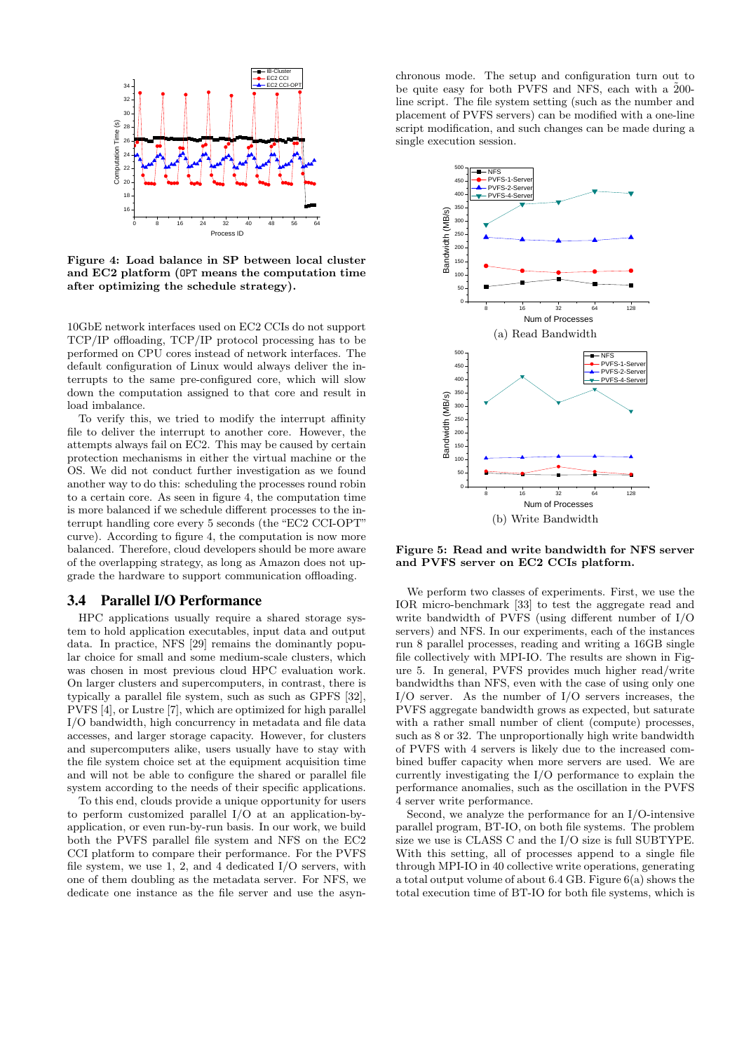

Figure 4: Load balance in SP between local cluster and EC2 platform (OPT means the computation time after optimizing the schedule strategy).

10GbE network interfaces used on EC2 CCIs do not support TCP/IP offloading, TCP/IP protocol processing has to be performed on CPU cores instead of network interfaces. The default configuration of Linux would always deliver the interrupts to the same pre-configured core, which will slow down the computation assigned to that core and result in load imbalance.

To verify this, we tried to modify the interrupt affinity file to deliver the interrupt to another core. However, the attempts always fail on EC2. This may be caused by certain protection mechanisms in either the virtual machine or the OS. We did not conduct further investigation as we found another way to do this: scheduling the processes round robin to a certain core. As seen in figure 4, the computation time is more balanced if we schedule different processes to the interrupt handling core every 5 seconds (the "EC2 CCI-OPT" curve). According to figure 4, the computation is now more balanced. Therefore, cloud developers should be more aware of the overlapping strategy, as long as Amazon does not upgrade the hardware to support communication offloading.

## 3.4 Parallel I/O Performance

HPC applications usually require a shared storage system to hold application executables, input data and output data. In practice, NFS [29] remains the dominantly popular choice for small and some medium-scale clusters, which was chosen in most previous cloud HPC evaluation work. On larger clusters and supercomputers, in contrast, there is typically a parallel file system, such as such as GPFS [32], PVFS [4], or Lustre [7], which are optimized for high parallel I/O bandwidth, high concurrency in metadata and file data accesses, and larger storage capacity. However, for clusters and supercomputers alike, users usually have to stay with the file system choice set at the equipment acquisition time and will not be able to configure the shared or parallel file system according to the needs of their specific applications.

To this end, clouds provide a unique opportunity for users to perform customized parallel I/O at an application-byapplication, or even run-by-run basis. In our work, we build both the PVFS parallel file system and NFS on the EC2 CCI platform to compare their performance. For the PVFS file system, we use 1, 2, and 4 dedicated I/O servers, with one of them doubling as the metadata server. For NFS, we dedicate one instance as the file server and use the asyn-

chronous mode. The setup and configuration turn out to be quite easy for both PVFS and NFS, each with a  $200$ line script. The file system setting (such as the number and placement of PVFS servers) can be modified with a one-line script modification, and such changes can be made during a single execution session.



Figure 5: Read and write bandwidth for NFS server and PVFS server on EC2 CCIs platform.

We perform two classes of experiments. First, we use the IOR micro-benchmark [33] to test the aggregate read and write bandwidth of PVFS (using different number of I/O servers) and NFS. In our experiments, each of the instances run 8 parallel processes, reading and writing a 16GB single file collectively with MPI-IO. The results are shown in Figure 5. In general, PVFS provides much higher read/write bandwidths than NFS, even with the case of using only one I/O server. As the number of I/O servers increases, the PVFS aggregate bandwidth grows as expected, but saturate with a rather small number of client (compute) processes, such as 8 or 32. The unproportionally high write bandwidth of PVFS with 4 servers is likely due to the increased combined buffer capacity when more servers are used. We are currently investigating the I/O performance to explain the performance anomalies, such as the oscillation in the PVFS 4 server write performance.

Second, we analyze the performance for an I/O-intensive parallel program, BT-IO, on both file systems. The problem size we use is CLASS C and the I/O size is full SUBTYPE. With this setting, all of processes append to a single file through MPI-IO in 40 collective write operations, generating a total output volume of about 6.4 GB. Figure 6(a) shows the total execution time of BT-IO for both file systems, which is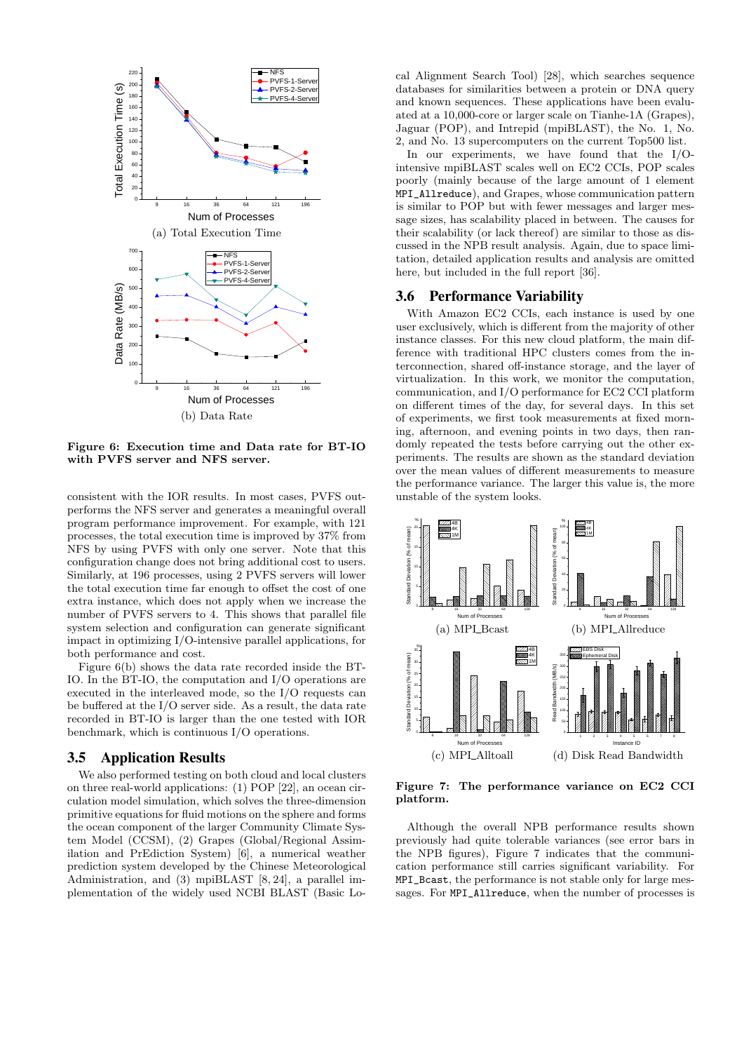

Figure 6: Execution time and Data rate for BT-IO with PVFS server and NFS server.

consistent with the IOR results. In most cases, PVFS outperforms the NFS server and generates a meaningful overall program performance improvement. For example, with 121 processes, the total execution time is improved by 37% from NFS by using PVFS with only one server. Note that this configuration change does not bring additional cost to users. Similarly, at 196 processes, using 2 PVFS servers will lower the total execution time far enough to offset the cost of one extra instance, which does not apply when we increase the number of PVFS servers to 4. This shows that parallel file system selection and configuration can generate significant impact in optimizing I/O-intensive parallel applications, for both performance and cost.

Figure 6(b) shows the data rate recorded inside the BT-IO. In the BT-IO, the computation and I/O operations are executed in the interleaved mode, so the I/O requests can be buffered at the I/O server side. As a result, the data rate recorded in BT-IO is larger than the one tested with IOR benchmark, which is continuous I/O operations.

### 3.5 Application Results

We also performed testing on both cloud and local clusters on three real-world applications: (1) POP [22], an ocean circulation model simulation, which solves the three-dimension primitive equations for fluid motions on the sphere and forms the ocean component of the larger Community Climate System Model (CCSM), (2) Grapes (Global/Regional Assimilation and PrEdiction System) [6], a numerical weather prediction system developed by the Chinese Meteorological Administration, and (3) mpiBLAST [8, 24], a parallel implementation of the widely used NCBI BLAST (Basic Lo-

cal Alignment Search Tool) [28], which searches sequence databases for similarities between a protein or DNA query and known sequences. These applications have been evaluated at a 10,000-core or larger scale on Tianhe-1A (Grapes), Jaguar (POP), and Intrepid (mpiBLAST), the No. 1, No. 2, and No. 13 supercomputers on the current Top500 list.

In our experiments, we have found that the I/Ointensive mpiBLAST scales well on EC2 CCIs, POP scales poorly (mainly because of the large amount of 1 element MPI\_Allreduce), and Grapes, whose communication pattern is similar to POP but with fewer messages and larger message sizes, has scalability placed in between. The causes for their scalability (or lack thereof) are similar to those as discussed in the NPB result analysis. Again, due to space limitation, detailed application results and analysis are omitted here, but included in the full report [36].

#### 3.6 Performance Variability

With Amazon EC2 CCIs, each instance is used by one user exclusively, which is different from the majority of other instance classes. For this new cloud platform, the main difference with traditional HPC clusters comes from the interconnection, shared off-instance storage, and the layer of virtualization. In this work, we monitor the computation, communication, and I/O performance for EC2 CCI platform on different times of the day, for several days. In this set of experiments, we first took measurements at fixed morning, afternoon, and evening points in two days, then randomly repeated the tests before carrying out the other experiments. The results are shown as the standard deviation over the mean values of different measurements to measure the performance variance. The larger this value is, the more unstable of the system looks.



Figure 7: The performance variance on EC2 CCI platform.

Although the overall NPB performance results shown previously had quite tolerable variances (see error bars in the NPB figures), Figure 7 indicates that the communication performance still carries significant variability. For MPI\_Bcast, the performance is not stable only for large messages. For MPI\_Allreduce, when the number of processes is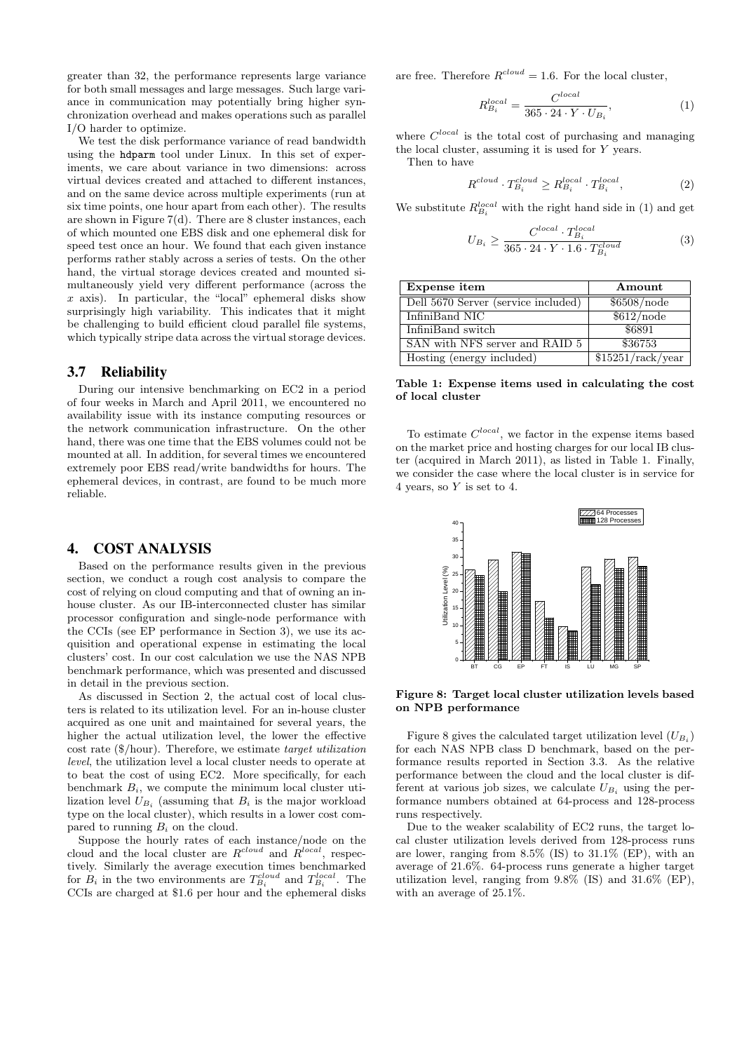greater than 32, the performance represents large variance for both small messages and large messages. Such large variance in communication may potentially bring higher synchronization overhead and makes operations such as parallel I/O harder to optimize.

We test the disk performance variance of read bandwidth using the hdparm tool under Linux. In this set of experiments, we care about variance in two dimensions: across virtual devices created and attached to different instances, and on the same device across multiple experiments (run at six time points, one hour apart from each other). The results are shown in Figure  $7(d)$ . There are 8 cluster instances, each of which mounted one EBS disk and one ephemeral disk for speed test once an hour. We found that each given instance performs rather stably across a series of tests. On the other hand, the virtual storage devices created and mounted simultaneously yield very different performance (across the  $x$  axis). In particular, the "local" ephemeral disks show surprisingly high variability. This indicates that it might be challenging to build efficient cloud parallel file systems, which typically stripe data across the virtual storage devices.

#### 3.7 Reliability

During our intensive benchmarking on EC2 in a period of four weeks in March and April 2011, we encountered no availability issue with its instance computing resources or the network communication infrastructure. On the other hand, there was one time that the EBS volumes could not be mounted at all. In addition, for several times we encountered extremely poor EBS read/write bandwidths for hours. The ephemeral devices, in contrast, are found to be much more reliable.

# 4. COST ANALYSIS

Based on the performance results given in the previous section, we conduct a rough cost analysis to compare the cost of relying on cloud computing and that of owning an inhouse cluster. As our IB-interconnected cluster has similar processor configuration and single-node performance with the CCIs (see EP performance in Section 3), we use its acquisition and operational expense in estimating the local clusters' cost. In our cost calculation we use the NAS NPB benchmark performance, which was presented and discussed in detail in the previous section.

As discussed in Section 2, the actual cost of local clusters is related to its utilization level. For an in-house cluster acquired as one unit and maintained for several years, the higher the actual utilization level, the lower the effective cost rate (\$/hour). Therefore, we estimate target utilization level, the utilization level a local cluster needs to operate at to beat the cost of using EC2. More specifically, for each benchmark  $B_i$ , we compute the minimum local cluster utilization level  $U_{B_i}$  (assuming that  $B_i$  is the major workload type on the local cluster), which results in a lower cost compared to running  $B_i$  on the cloud.

Suppose the hourly rates of each instance/node on the cloud and the local cluster are  $R^{cloud}$  and  $R^{local}$ , respectively. Similarly the average execution times benchmarked for  $B_i$  in the two environments are  $T_{B_i}^{cloud}$  and  $T_{B_i}^{local}$ . The CCIs are charged at \$1.6 per hour and the ephemeral disks are free. Therefore  $R^{cloud} = 1.6$ . For the local cluster,

$$
R_{B_i}^{local} = \frac{C^{local}}{365 \cdot 24 \cdot Y \cdot U_{B_i}},\tag{1}
$$

where  $C^{local}$  is the total cost of purchasing and managing the local cluster, assuming it is used for Y years.

Then to have

$$
R^{cloud} \cdot T_{B_i}^{cloud} \ge R_{B_i}^{local} \cdot T_{B_i}^{local},\tag{2}
$$

We substitute  $R_{B_i}^{local}$  with the right hand side in (1) and get

$$
U_{B_i} \ge \frac{C^{local} \cdot T_{B_i}^{local}}{365 \cdot 24 \cdot Y \cdot 1.6 \cdot T_{B_i}^{cloud}} \tag{3}
$$

| Expense item                        | Amount                                  |
|-------------------------------------|-----------------------------------------|
| Dell 5670 Server (service included) | \$6508/node                             |
| InfiniBand NIC                      | \$612/node                              |
| InfiniBand switch                   | \$6891                                  |
| SAN with NFS server and RAID 5      | \$36753                                 |
| Hosting (energy included)           | $\sqrt{$15251/\text{rack}/\text{year}}$ |

#### Table 1: Expense items used in calculating the cost of local cluster

To estimate  $C^{local}$ , we factor in the expense items based on the market price and hosting charges for our local IB cluster (acquired in March 2011), as listed in Table 1. Finally, we consider the case where the local cluster is in service for 4 years, so Y is set to 4.



Figure 8: Target local cluster utilization levels based on NPB performance

Figure 8 gives the calculated target utilization level  $(U_{B_i})$ for each NAS NPB class D benchmark, based on the performance results reported in Section 3.3. As the relative performance between the cloud and the local cluster is different at various job sizes, we calculate  $U_{B_i}$  using the performance numbers obtained at 64-process and 128-process runs respectively.

Due to the weaker scalability of EC2 runs, the target local cluster utilization levels derived from 128-process runs are lower, ranging from 8.5% (IS) to 31.1% (EP), with an average of 21.6%. 64-process runs generate a higher target utilization level, ranging from 9.8% (IS) and 31.6% (EP), with an average of 25.1%.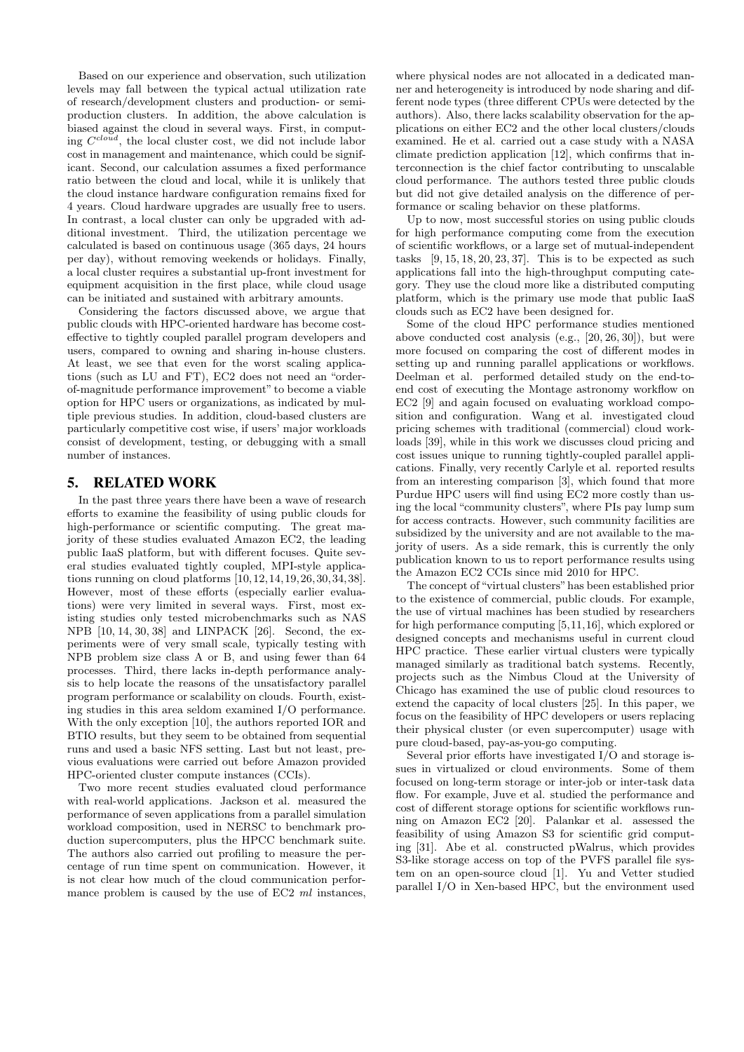Based on our experience and observation, such utilization levels may fall between the typical actual utilization rate of research/development clusters and production- or semiproduction clusters. In addition, the above calculation is biased against the cloud in several ways. First, in computing  $C^{cloud}$ , the local cluster cost, we did not include labor cost in management and maintenance, which could be significant. Second, our calculation assumes a fixed performance ratio between the cloud and local, while it is unlikely that the cloud instance hardware configuration remains fixed for 4 years. Cloud hardware upgrades are usually free to users. In contrast, a local cluster can only be upgraded with additional investment. Third, the utilization percentage we calculated is based on continuous usage (365 days, 24 hours per day), without removing weekends or holidays. Finally, a local cluster requires a substantial up-front investment for equipment acquisition in the first place, while cloud usage can be initiated and sustained with arbitrary amounts.

Considering the factors discussed above, we argue that public clouds with HPC-oriented hardware has become costeffective to tightly coupled parallel program developers and users, compared to owning and sharing in-house clusters. At least, we see that even for the worst scaling applications (such as LU and FT), EC2 does not need an "orderof-magnitude performance improvement" to become a viable option for HPC users or organizations, as indicated by multiple previous studies. In addition, cloud-based clusters are particularly competitive cost wise, if users' major workloads consist of development, testing, or debugging with a small number of instances.

# 5. RELATED WORK

In the past three years there have been a wave of research efforts to examine the feasibility of using public clouds for high-performance or scientific computing. The great majority of these studies evaluated Amazon EC2, the leading public IaaS platform, but with different focuses. Quite several studies evaluated tightly coupled, MPI-style applications running on cloud platforms [10,12,14,19,26,30,34,38]. However, most of these efforts (especially earlier evaluations) were very limited in several ways. First, most existing studies only tested microbenchmarks such as NAS NPB [10, 14, 30, 38] and LINPACK [26]. Second, the experiments were of very small scale, typically testing with NPB problem size class A or B, and using fewer than 64 processes. Third, there lacks in-depth performance analysis to help locate the reasons of the unsatisfactory parallel program performance or scalability on clouds. Fourth, existing studies in this area seldom examined I/O performance. With the only exception [10], the authors reported IOR and BTIO results, but they seem to be obtained from sequential runs and used a basic NFS setting. Last but not least, previous evaluations were carried out before Amazon provided HPC-oriented cluster compute instances (CCIs).

Two more recent studies evaluated cloud performance with real-world applications. Jackson et al. measured the performance of seven applications from a parallel simulation workload composition, used in NERSC to benchmark production supercomputers, plus the HPCC benchmark suite. The authors also carried out profiling to measure the percentage of run time spent on communication. However, it is not clear how much of the cloud communication performance problem is caused by the use of  $EC2$  ml instances,

where physical nodes are not allocated in a dedicated manner and heterogeneity is introduced by node sharing and different node types (three different CPUs were detected by the authors). Also, there lacks scalability observation for the applications on either EC2 and the other local clusters/clouds examined. He et al. carried out a case study with a NASA climate prediction application [12], which confirms that interconnection is the chief factor contributing to unscalable cloud performance. The authors tested three public clouds but did not give detailed analysis on the difference of performance or scaling behavior on these platforms.

Up to now, most successful stories on using public clouds for high performance computing come from the execution of scientific workflows, or a large set of mutual-independent tasks  $[9, 15, 18, 20, 23, 37]$ . This is to be expected as such applications fall into the high-throughput computing category. They use the cloud more like a distributed computing platform, which is the primary use mode that public IaaS clouds such as EC2 have been designed for.

Some of the cloud HPC performance studies mentioned above conducted cost analysis (e.g., [20, 26, 30]), but were more focused on comparing the cost of different modes in setting up and running parallel applications or workflows. Deelman et al. performed detailed study on the end-toend cost of executing the Montage astronomy workflow on EC2 [9] and again focused on evaluating workload composition and configuration. Wang et al. investigated cloud pricing schemes with traditional (commercial) cloud workloads [39], while in this work we discusses cloud pricing and cost issues unique to running tightly-coupled parallel applications. Finally, very recently Carlyle et al. reported results from an interesting comparison [3], which found that more Purdue HPC users will find using EC2 more costly than using the local "community clusters", where PIs pay lump sum for access contracts. However, such community facilities are subsidized by the university and are not available to the majority of users. As a side remark, this is currently the only publication known to us to report performance results using the Amazon EC2 CCIs since mid 2010 for HPC.

The concept of "virtual clusters"has been established prior to the existence of commercial, public clouds. For example, the use of virtual machines has been studied by researchers for high performance computing [5,11,16], which explored or designed concepts and mechanisms useful in current cloud HPC practice. These earlier virtual clusters were typically managed similarly as traditional batch systems. Recently, projects such as the Nimbus Cloud at the University of Chicago has examined the use of public cloud resources to extend the capacity of local clusters [25]. In this paper, we focus on the feasibility of HPC developers or users replacing their physical cluster (or even supercomputer) usage with pure cloud-based, pay-as-you-go computing.

Several prior efforts have investigated I/O and storage issues in virtualized or cloud environments. Some of them focused on long-term storage or inter-job or inter-task data flow. For example, Juve et al. studied the performance and cost of different storage options for scientific workflows running on Amazon EC2 [20]. Palankar et al. assessed the feasibility of using Amazon S3 for scientific grid computing [31]. Abe et al. constructed pWalrus, which provides S3-like storage access on top of the PVFS parallel file system on an open-source cloud [1]. Yu and Vetter studied parallel I/O in Xen-based HPC, but the environment used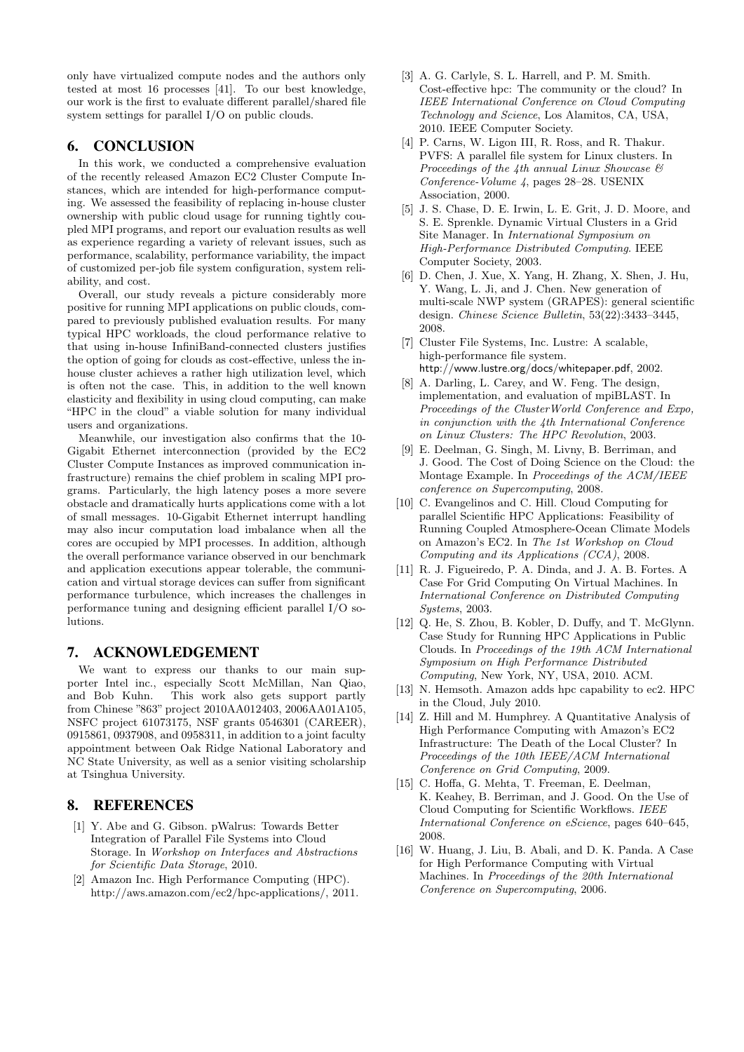only have virtualized compute nodes and the authors only tested at most 16 processes [41]. To our best knowledge. our work is the first to evaluate different parallel/shared file system settings for parallel I/O on public clouds.

# 6. CONCLUSION

In this work, we conducted a comprehensive evaluation of the recently released Amazon EC2 Cluster Compute Instances, which are intended for high-performance computing. We assessed the feasibility of replacing in-house cluster ownership with public cloud usage for running tightly coupled MPI programs, and report our evaluation results as well as experience regarding a variety of relevant issues, such as performance, scalability, performance variability, the impact of customized per-job file system configuration, system reliability, and cost.

Overall, our study reveals a picture considerably more positive for running MPI applications on public clouds, compared to previously published evaluation results. For many typical HPC workloads, the cloud performance relative to that using in-house InfiniBand-connected clusters justifies the option of going for clouds as cost-effective, unless the inhouse cluster achieves a rather high utilization level, which is often not the case. This, in addition to the well known elasticity and flexibility in using cloud computing, can make "HPC in the cloud" a viable solution for many individual users and organizations.

Meanwhile, our investigation also confirms that the 10- Gigabit Ethernet interconnection (provided by the EC2 Cluster Compute Instances as improved communication infrastructure) remains the chief problem in scaling MPI programs. Particularly, the high latency poses a more severe obstacle and dramatically hurts applications come with a lot of small messages. 10-Gigabit Ethernet interrupt handling may also incur computation load imbalance when all the cores are occupied by MPI processes. In addition, although the overall performance variance observed in our benchmark and application executions appear tolerable, the communication and virtual storage devices can suffer from significant performance turbulence, which increases the challenges in performance tuning and designing efficient parallel I/O solutions.

## 7. ACKNOWLEDGEMENT

We want to express our thanks to our main supporter Intel inc., especially Scott McMillan, Nan Qiao, and Bob Kuhn. This work also gets support partly from Chinese "863" project 2010AA012403, 2006AA01A105, NSFC project 61073175, NSF grants 0546301 (CAREER), 0915861, 0937908, and 0958311, in addition to a joint faculty appointment between Oak Ridge National Laboratory and NC State University, as well as a senior visiting scholarship at Tsinghua University.

## 8. REFERENCES

- [1] Y. Abe and G. Gibson. pWalrus: Towards Better Integration of Parallel File Systems into Cloud Storage. In Workshop on Interfaces and Abstractions for Scientific Data Storage, 2010.
- [2] Amazon Inc. High Performance Computing (HPC). http://aws.amazon.com/ec2/hpc-applications/, 2011.
- [3] A. G. Carlyle, S. L. Harrell, and P. M. Smith. Cost-effective hpc: The community or the cloud? In IEEE International Conference on Cloud Computing Technology and Science, Los Alamitos, CA, USA, 2010. IEEE Computer Society.
- [4] P. Carns, W. Ligon III, R. Ross, and R. Thakur. PVFS: A parallel file system for Linux clusters. In Proceedings of the 4th annual Linux Showcase  $\mathcal{B}$ Conference-Volume 4, pages 28–28. USENIX Association, 2000.
- [5] J. S. Chase, D. E. Irwin, L. E. Grit, J. D. Moore, and S. E. Sprenkle. Dynamic Virtual Clusters in a Grid Site Manager. In International Symposium on High-Performance Distributed Computing. IEEE Computer Society, 2003.
- [6] D. Chen, J. Xue, X. Yang, H. Zhang, X. Shen, J. Hu, Y. Wang, L. Ji, and J. Chen. New generation of multi-scale NWP system (GRAPES): general scientific design. Chinese Science Bulletin, 53(22):3433–3445, 2008.
- [7] Cluster File Systems, Inc. Lustre: A scalable, high-performance file system. http://www.lustre.org/docs/whitepaper.pdf, 2002.
- [8] A. Darling, L. Carey, and W. Feng. The design, implementation, and evaluation of mpiBLAST. In Proceedings of the ClusterWorld Conference and Expo, in conjunction with the 4th International Conference on Linux Clusters: The HPC Revolution, 2003.
- [9] E. Deelman, G. Singh, M. Livny, B. Berriman, and J. Good. The Cost of Doing Science on the Cloud: the Montage Example. In Proceedings of the ACM/IEEE conference on Supercomputing, 2008.
- [10] C. Evangelinos and C. Hill. Cloud Computing for parallel Scientific HPC Applications: Feasibility of Running Coupled Atmosphere-Ocean Climate Models on Amazon's EC2. In The 1st Workshop on Cloud Computing and its Applications (CCA), 2008.
- [11] R. J. Figueiredo, P. A. Dinda, and J. A. B. Fortes. A Case For Grid Computing On Virtual Machines. In International Conference on Distributed Computing Systems, 2003.
- [12] Q. He, S. Zhou, B. Kobler, D. Duffy, and T. McGlynn. Case Study for Running HPC Applications in Public Clouds. In Proceedings of the 19th ACM International Symposium on High Performance Distributed Computing, New York, NY, USA, 2010. ACM.
- [13] N. Hemsoth. Amazon adds hpc capability to ec2. HPC in the Cloud, July 2010.
- [14] Z. Hill and M. Humphrey. A Quantitative Analysis of High Performance Computing with Amazon's EC2 Infrastructure: The Death of the Local Cluster? In Proceedings of the 10th IEEE/ACM International Conference on Grid Computing, 2009.
- [15] C. Hoffa, G. Mehta, T. Freeman, E. Deelman, K. Keahey, B. Berriman, and J. Good. On the Use of Cloud Computing for Scientific Workflows. IEEE International Conference on eScience, pages 640–645, 2008.
- [16] W. Huang, J. Liu, B. Abali, and D. K. Panda. A Case for High Performance Computing with Virtual Machines. In Proceedings of the 20th International Conference on Supercomputing, 2006.